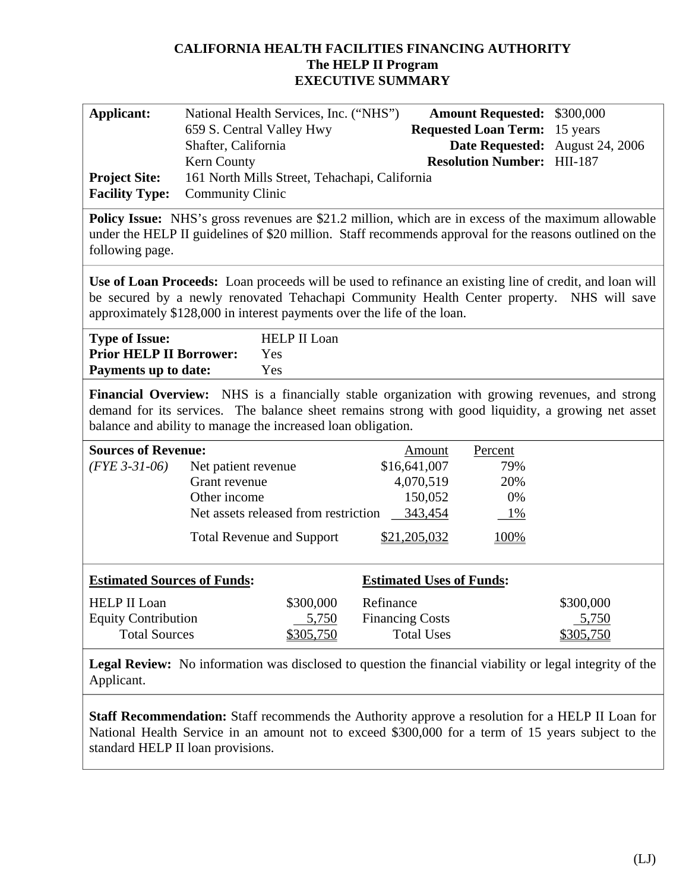# **CALIFORNIA HEALTH FACILITIES FINANCING AUTHORITY The HELP II Program EXECUTIVE SUMMARY**

| <b>Applicant:</b>                                                                                                                                                                                                                                                               | National Health Services, Inc. ("NHS")<br>659 S. Central Valley Hwy<br>Shafter, California |           |                        |                   | <b>Amount Requested:</b><br><b>Requested Loan Term:</b> | \$300,000<br>15 years<br>Date Requested: August 24, 2006 |
|---------------------------------------------------------------------------------------------------------------------------------------------------------------------------------------------------------------------------------------------------------------------------------|--------------------------------------------------------------------------------------------|-----------|------------------------|-------------------|---------------------------------------------------------|----------------------------------------------------------|
|                                                                                                                                                                                                                                                                                 | Kern County                                                                                |           |                        |                   | <b>Resolution Number: HII-187</b>                       |                                                          |
| <b>Project Site:</b>                                                                                                                                                                                                                                                            | 161 North Mills Street, Tehachapi, California                                              |           |                        |                   |                                                         |                                                          |
| <b>Facility Type:</b>                                                                                                                                                                                                                                                           | <b>Community Clinic</b>                                                                    |           |                        |                   |                                                         |                                                          |
| <b>Policy Issue:</b> NHS's gross revenues are \$21.2 million, which are in excess of the maximum allowable<br>under the HELP II guidelines of \$20 million. Staff recommends approval for the reasons outlined on the<br>following page.                                        |                                                                                            |           |                        |                   |                                                         |                                                          |
| Use of Loan Proceeds: Loan proceeds will be used to refinance an existing line of credit, and loan will<br>be secured by a newly renovated Tehachapi Community Health Center property. NHS will save<br>approximately \$128,000 in interest payments over the life of the loan. |                                                                                            |           |                        |                   |                                                         |                                                          |
| <b>Type of Issue:</b><br><b>HELP II Loan</b><br><b>Prior HELP II Borrower:</b><br>Yes<br><b>Payments up to date:</b><br>Yes                                                                                                                                                     |                                                                                            |           |                        |                   |                                                         |                                                          |
| Financial Overview: NHS is a financially stable organization with growing revenues, and strong<br>demand for its services. The balance sheet remains strong with good liquidity, a growing net asset<br>balance and ability to manage the increased loan obligation.            |                                                                                            |           |                        |                   |                                                         |                                                          |
| <b>Sources of Revenue:</b>                                                                                                                                                                                                                                                      |                                                                                            |           |                        | Amount            | Percent                                                 |                                                          |
| $(FYE 3-31-06)$                                                                                                                                                                                                                                                                 | Net patient revenue                                                                        |           |                        | \$16,641,007      | 79%                                                     |                                                          |
|                                                                                                                                                                                                                                                                                 | Grant revenue                                                                              |           |                        | 4,070,519         | 20%                                                     |                                                          |
|                                                                                                                                                                                                                                                                                 | Other income                                                                               |           |                        | 150,052           | 0%                                                      |                                                          |
|                                                                                                                                                                                                                                                                                 | Net assets released from restriction                                                       |           |                        | 343,454           | 1%                                                      |                                                          |
|                                                                                                                                                                                                                                                                                 | <b>Total Revenue and Support</b>                                                           |           |                        | \$21,205,032      | 100%                                                    |                                                          |
| <b>Estimated Sources of Funds:</b><br><b>Estimated Uses of Funds:</b>                                                                                                                                                                                                           |                                                                                            |           |                        |                   |                                                         |                                                          |
| <b>HELP II Loan</b>                                                                                                                                                                                                                                                             |                                                                                            | \$300,000 | Refinance              |                   |                                                         | \$300,000                                                |
| <b>Equity Contribution</b>                                                                                                                                                                                                                                                      |                                                                                            | 5,750     | <b>Financing Costs</b> |                   |                                                         | 5,750                                                    |
| <b>Total Sources</b>                                                                                                                                                                                                                                                            |                                                                                            | \$305,750 |                        | <b>Total Uses</b> |                                                         | \$305,750                                                |
| Legal Review: No information was disclosed to question the financial viability or legal integrity of the<br>Applicant.                                                                                                                                                          |                                                                                            |           |                        |                   |                                                         |                                                          |

**Staff Recommendation:** Staff recommends the Authority approve a resolution for a HELP II Loan for National Health Service in an amount not to exceed \$300,000 for a term of 15 years subject to the standard HELP II loan provisions.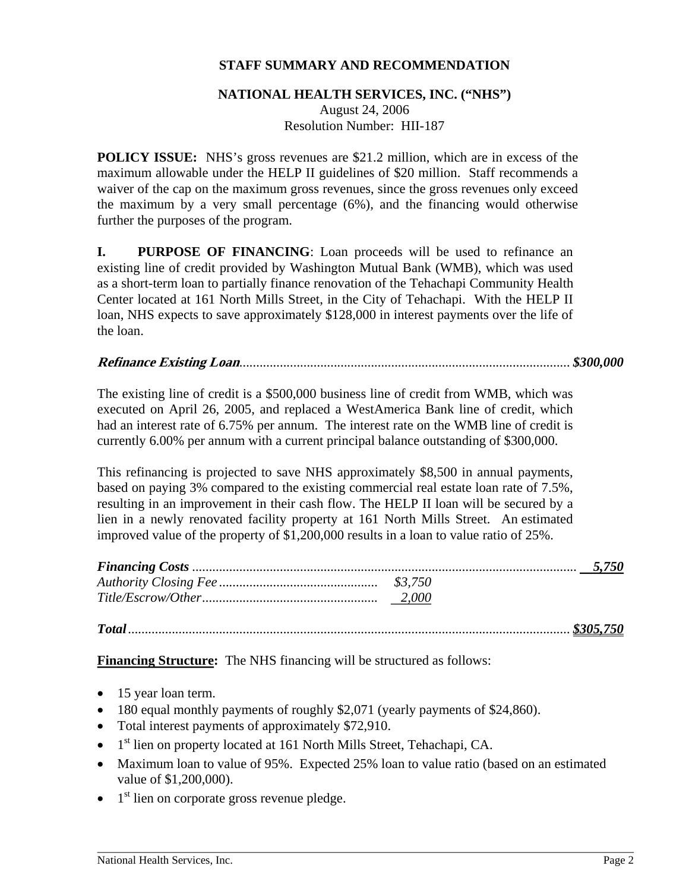# **STAFF SUMMARY AND RECOMMENDATION**

#### **NATIONAL HEALTH SERVICES, INC. ("NHS")**

August 24, 2006 Resolution Number: HII-187

**POLICY ISSUE:** NHS's gross revenues are \$21.2 million, which are in excess of the maximum allowable under the HELP II guidelines of \$20 million. Staff recommends a waiver of the cap on the maximum gross revenues, since the gross revenues only exceed the maximum by a very small percentage (6%), and the financing would otherwise further the purposes of the program.

**I.** PURPOSE OF FINANCING: Loan proceeds will be used to refinance an existing line of credit provided by Washington Mutual Bank (WMB), which was used as a short-term loan to partially finance renovation of the Tehachapi Community Health Center located at 161 North Mills Street, in the City of Tehachapi. With the HELP II loan, NHS expects to save approximately \$128,000 in interest payments over the life of the loan.

## **Refinance Existing Loan***.................................................................................................. \$300,000*

The existing line of credit is a \$500,000 business line of credit from WMB, which was executed on April 26, 2005, and replaced a WestAmerica Bank line of credit, which had an interest rate of 6.75% per annum. The interest rate on the WMB line of credit is currently 6.00% per annum with a current principal balance outstanding of \$300,000.

This refinancing is projected to save NHS approximately \$8,500 in annual payments, based on paying 3% compared to the existing commercial real estate loan rate of 7.5%, resulting in an improvement in their cash flow. The HELP II loan will be secured by a lien in a newly renovated facility property at 161 North Mills Street. An estimated improved value of the property of \$1,200,000 results in a loan to value ratio of 25%.

*Total ................................................................................................................................... \$305,750*

**Financing Structure:** The NHS financing will be structured as follows:

- 15 year loan term.
- 180 equal monthly payments of roughly \$2,071 (yearly payments of \$24,860).
- Total interest payments of approximately \$72,910.
- $\bullet$  1<sup>st</sup> lien on property located at 161 North Mills Street, Tehachapi, CA.
- Maximum loan to value of 95%. Expected 25% loan to value ratio (based on an estimated value of \$1,200,000).
- $\bullet$  1<sup>st</sup> lien on corporate gross revenue pledge.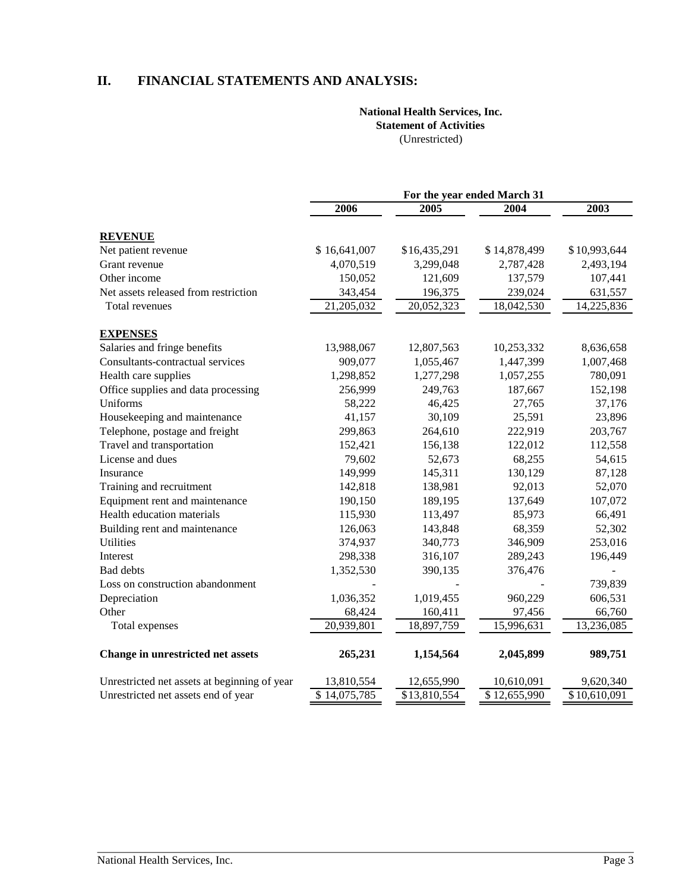## **II. FINANCIAL STATEMENTS AND ANALYSIS:**

#### **National Health Services, Inc. Statement of Activities**  (Unrestricted)

 **For the year ended March 31 2006 2005 2004 2003 REVENUE**  Net patient revenue  $$16,641,007$   $$16,435,291$   $$14,878,499$   $$10,993,644$ Grant revenue  $4,070,519$   $3,299,048$   $2,787,428$   $2,493,194$ Other income 150,052 121,609 137,579 107,441 Net assets released from restriction 343,454 196,375 239,024 631,557 Total revenues 21,205,032 20,052,323 18,042,530 14,225,836 **EXPENSES**  Salaries and fringe benefits 13,988,067 12,807,563 10,253,332 8,636,658 Consultants-contractual services 909,077 1,055,467 1,447,399 1,007,468 Health care supplies 1,298,852 1,277,298 1,057,255 780,091 Office supplies and data processing 256,999 249,763 187,667 152,198 Uniforms 58,222 46,425 27,765 37,176 Housekeeping and maintenance  $41,157$   $30,109$   $25,591$   $23,896$ Telephone, postage and freight 299,863 264,610 222,919 203,767 Travel and transportation 152,421 156,138 122,012 112,558 License and dues 79,602 52,673 68,255 54,615 Insurance 149,999 145,311 130,129 87,128 Training and recruitment 142,818 138,981 92,013 52,070 Equipment rent and maintenance 190,150 189,195 137,649 107,072 Health education materials 115,930 113,497 85,973 66,491 Building rent and maintenance 126,063 143,848 68,359 52,302 Utilities 374,937 340,773 346,909 253,016 Interest 298,338 316,107 289,243 196,449 Bad debts 1,352,530 390,135 376,476 -Loss on construction abandonment the construction abandonment the construction abandonment the construction of  $\sim$  739,839 Depreciation 1,036,352 1,019,455 960,229 606,531 Other 66,760 66,760 66,760 66,760 66,760 66,760 66,760 66,760 66,760 66,760 66,760 66,760 66,760 66,760 66,760 Total expenses 20,939,801 18,897,759 15,996,631 13,236,085 **Change in unrestricted net assets 265,231 1,154,564 2,045,899 989,751**  Unrestricted net assets at beginning of year 13,810,554 12,655,990 10,610,091 9,620,340 Unrestricted net assets end of year  $\frac{1}{3}$  14,075,785  $\frac{13,810,554}{13,810,554}$   $\frac{12,655,990}{12,655,990}$   $\frac{10,610,091}{12,655,990}$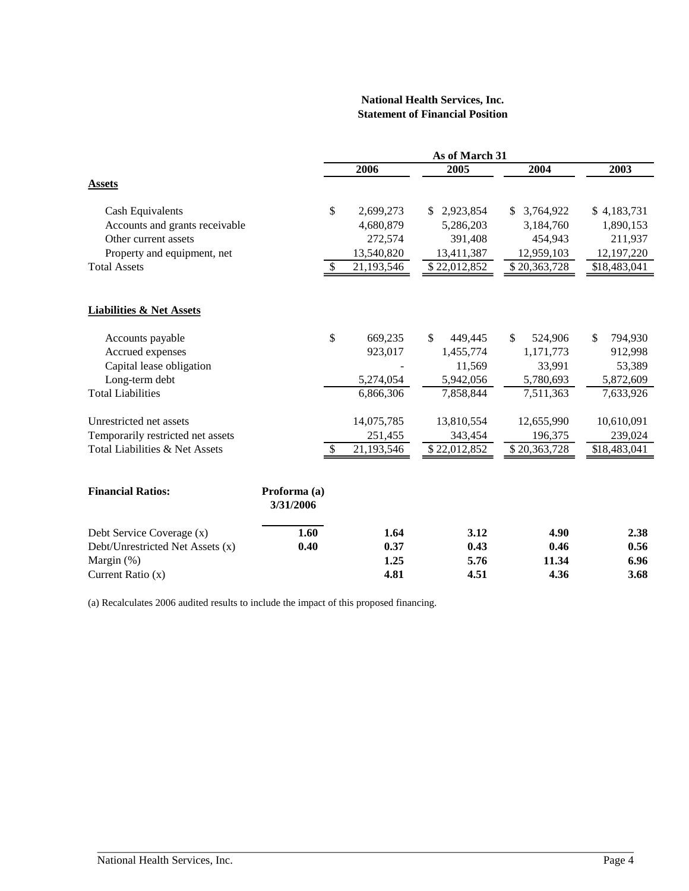#### **National Health Services, Inc. Statement of Financial Position**

|                                     |                           |            | As of March 31  |                 |               |
|-------------------------------------|---------------------------|------------|-----------------|-----------------|---------------|
|                                     |                           | 2006       | 2005            | 2004            | 2003          |
| <b>Assets</b>                       |                           |            |                 |                 |               |
| <b>Cash Equivalents</b>             | \$                        | 2,699,273  | 2,923,854<br>S. | 3,764,922<br>S. | \$4,183,731   |
| Accounts and grants receivable      |                           | 4,680,879  | 5,286,203       | 3,184,760       | 1,890,153     |
| Other current assets                |                           | 272,574    | 391,408         | 454,943         | 211,937       |
| Property and equipment, net         |                           | 13,540,820 | 13,411,387      | 12,959,103      | 12, 197, 220  |
| <b>Total Assets</b>                 |                           | 21,193,546 | \$22,012,852    | \$20,363,728    | \$18,483,041  |
| <b>Liabilities &amp; Net Assets</b> |                           |            |                 |                 |               |
| Accounts payable                    | \$                        | 669,235    | \$<br>449,445   | \$<br>524,906   | \$<br>794,930 |
| Accrued expenses                    |                           | 923,017    | 1,455,774       | 1,171,773       | 912,998       |
| Capital lease obligation            |                           |            | 11,569          | 33,991          | 53,389        |
| Long-term debt                      |                           | 5,274,054  | 5,942,056       | 5,780,693       | 5,872,609     |
| <b>Total Liabilities</b>            |                           | 6,866,306  | 7,858,844       | 7,511,363       | 7,633,926     |
| Unrestricted net assets             |                           | 14,075,785 | 13,810,554      | 12,655,990      | 10,610,091    |
| Temporarily restricted net assets   |                           | 251,455    | 343,454         | 196,375         | 239,024       |
| Total Liabilities & Net Assets      | \$                        | 21,193,546 | \$22,012,852    | \$20,363,728    | \$18,483,041  |
| <b>Financial Ratios:</b>            | Proforma (a)<br>3/31/2006 |            |                 |                 |               |
| Debt Service Coverage (x)           | 1.60                      | 1.64       | 3.12            | 4.90            | 2.38          |
| Debt/Unrestricted Net Assets (x)    | 0.40                      | 0.37       | 0.43            | 0.46            | 0.56          |
| Margin $(\%)$                       |                           | 1.25       | 5.76            | 11.34           | 6.96          |
| Current Ratio (x)                   |                           | 4.81       | 4.51            | 4.36            | 3.68          |

(a) Recalculates 2006 audited results to include the impact of this proposed financing.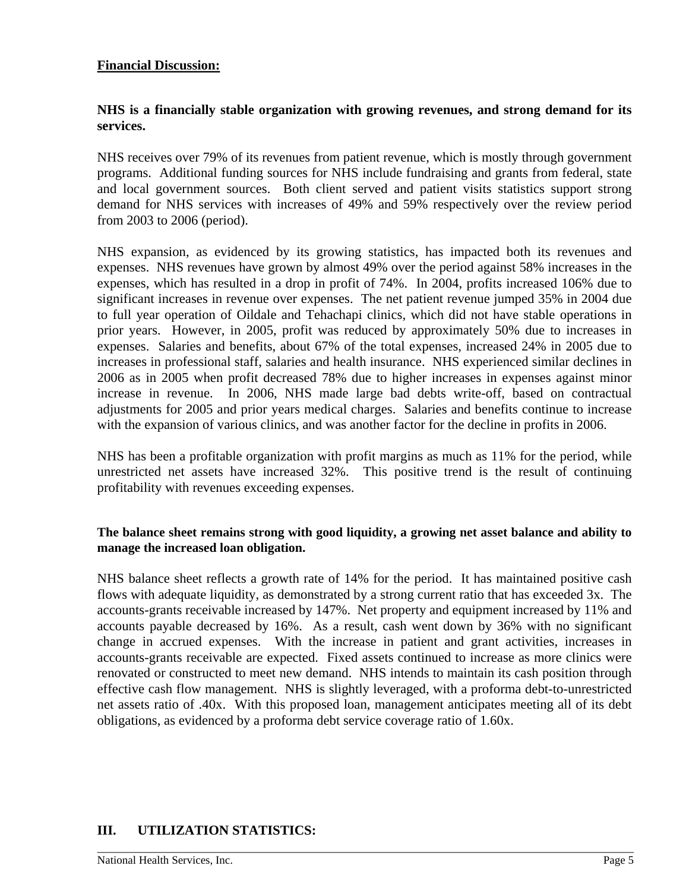#### **Financial Discussion:**

## **NHS is a financially stable organization with growing revenues, and strong demand for its services.**

NHS receives over 79% of its revenues from patient revenue, which is mostly through government programs. Additional funding sources for NHS include fundraising and grants from federal, state and local government sources. Both client served and patient visits statistics support strong demand for NHS services with increases of 49% and 59% respectively over the review period from 2003 to 2006 (period).

NHS expansion, as evidenced by its growing statistics, has impacted both its revenues and expenses. NHS revenues have grown by almost 49% over the period against 58% increases in the expenses, which has resulted in a drop in profit of 74%. In 2004, profits increased 106% due to significant increases in revenue over expenses. The net patient revenue jumped 35% in 2004 due to full year operation of Oildale and Tehachapi clinics, which did not have stable operations in prior years. However, in 2005, profit was reduced by approximately 50% due to increases in expenses. Salaries and benefits, about 67% of the total expenses, increased 24% in 2005 due to increases in professional staff, salaries and health insurance. NHS experienced similar declines in 2006 as in 2005 when profit decreased 78% due to higher increases in expenses against minor increase in revenue. In 2006, NHS made large bad debts write-off, based on contractual adjustments for 2005 and prior years medical charges. Salaries and benefits continue to increase with the expansion of various clinics, and was another factor for the decline in profits in 2006.

NHS has been a profitable organization with profit margins as much as 11% for the period, while unrestricted net assets have increased 32%. This positive trend is the result of continuing profitability with revenues exceeding expenses.

## **The balance sheet remains strong with good liquidity, a growing net asset balance and ability to manage the increased loan obligation.**

NHS balance sheet reflects a growth rate of 14% for the period. It has maintained positive cash flows with adequate liquidity, as demonstrated by a strong current ratio that has exceeded 3x. The accounts-grants receivable increased by 147%. Net property and equipment increased by 11% and accounts payable decreased by 16%. As a result, cash went down by 36% with no significant change in accrued expenses. With the increase in patient and grant activities, increases in accounts-grants receivable are expected. Fixed assets continued to increase as more clinics were renovated or constructed to meet new demand. NHS intends to maintain its cash position through effective cash flow management. NHS is slightly leveraged, with a proforma debt-to-unrestricted net assets ratio of .40x. With this proposed loan, management anticipates meeting all of its debt obligations, as evidenced by a proforma debt service coverage ratio of 1.60x.

# **III. UTILIZATION STATISTICS:**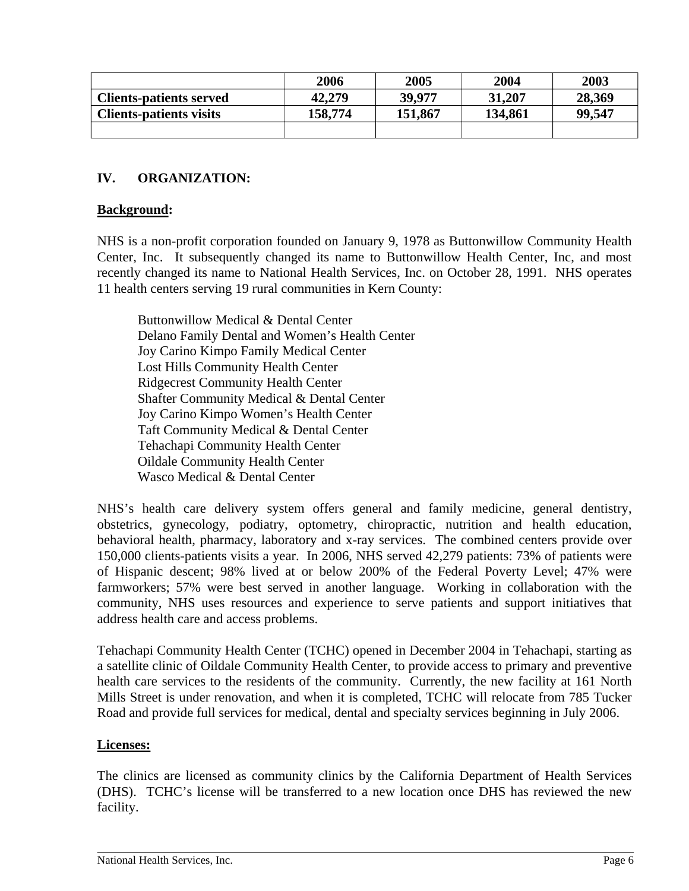|                                | 2006    | 2005    | 2004    | 2003   |
|--------------------------------|---------|---------|---------|--------|
| <b>Clients-patients served</b> | 42,279  | 39,977  | 31,207  | 28,369 |
| <b>Clients-patients visits</b> | 158,774 | 151,867 | 134,861 | 99,547 |
|                                |         |         |         |        |

# **IV. ORGANIZATION:**

## **Background:**

NHS is a non-profit corporation founded on January 9, 1978 as Buttonwillow Community Health Center, Inc. It subsequently changed its name to Buttonwillow Health Center, Inc, and most recently changed its name to National Health Services, Inc. on October 28, 1991. NHS operates 11 health centers serving 19 rural communities in Kern County:

Buttonwillow Medical & Dental Center Delano Family Dental and Women's Health Center Joy Carino Kimpo Family Medical Center Lost Hills Community Health Center Ridgecrest Community Health Center Shafter Community Medical & Dental Center Joy Carino Kimpo Women's Health Center Taft Community Medical & Dental Center Tehachapi Community Health Center Oildale Community Health Center Wasco Medical & Dental Center

NHS's health care delivery system offers general and family medicine, general dentistry, obstetrics, gynecology, podiatry, optometry, chiropractic, nutrition and health education, behavioral health, pharmacy, laboratory and x-ray services. The combined centers provide over 150,000 clients-patients visits a year. In 2006, NHS served 42,279 patients: 73% of patients were of Hispanic descent; 98% lived at or below 200% of the Federal Poverty Level; 47% were farmworkers; 57% were best served in another language. Working in collaboration with the community, NHS uses resources and experience to serve patients and support initiatives that address health care and access problems.

Tehachapi Community Health Center (TCHC) opened in December 2004 in Tehachapi, starting as a satellite clinic of Oildale Community Health Center, to provide access to primary and preventive health care services to the residents of the community. Currently, the new facility at 161 North Mills Street is under renovation, and when it is completed, TCHC will relocate from 785 Tucker Road and provide full services for medical, dental and specialty services beginning in July 2006.

#### **Licenses:**

The clinics are licensed as community clinics by the California Department of Health Services (DHS). TCHC's license will be transferred to a new location once DHS has reviewed the new facility.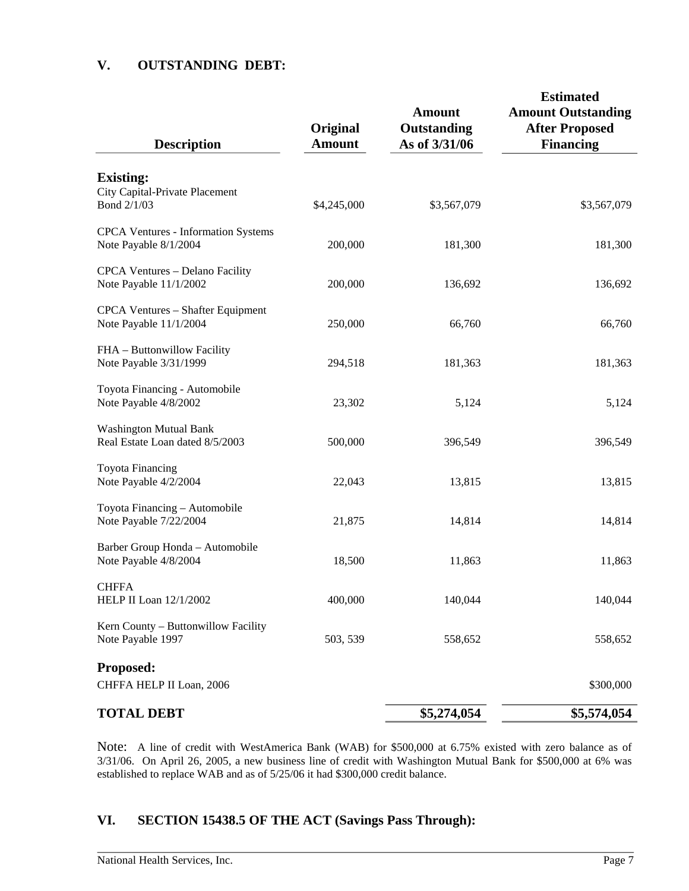## **V. OUTSTANDING DEBT:**

| <b>Description</b>                                                  | Original<br><b>Amount</b> | <b>Amount</b><br>Outstanding<br>As of 3/31/06 | <b>Estimated</b><br><b>Amount Outstanding</b><br><b>After Proposed</b><br><b>Financing</b> |
|---------------------------------------------------------------------|---------------------------|-----------------------------------------------|--------------------------------------------------------------------------------------------|
| <b>Existing:</b>                                                    |                           |                                               |                                                                                            |
| City Capital-Private Placement<br>Bond 2/1/03                       | \$4,245,000               | \$3,567,079                                   | \$3,567,079                                                                                |
| <b>CPCA Ventures - Information Systems</b><br>Note Payable 8/1/2004 | 200,000                   | 181,300                                       | 181,300                                                                                    |
| CPCA Ventures - Delano Facility<br>Note Payable 11/1/2002           | 200,000                   | 136,692                                       | 136,692                                                                                    |
| CPCA Ventures - Shafter Equipment<br>Note Payable 11/1/2004         | 250,000                   | 66,760                                        | 66,760                                                                                     |
| FHA - Buttonwillow Facility<br>Note Payable 3/31/1999               | 294,518                   | 181,363                                       | 181,363                                                                                    |
| Toyota Financing - Automobile<br>Note Payable 4/8/2002              | 23,302                    | 5,124                                         | 5,124                                                                                      |
| <b>Washington Mutual Bank</b><br>Real Estate Loan dated 8/5/2003    | 500,000                   | 396,549                                       | 396,549                                                                                    |
| <b>Toyota Financing</b><br>Note Payable 4/2/2004                    | 22,043                    | 13,815                                        | 13,815                                                                                     |
| Toyota Financing - Automobile<br>Note Payable 7/22/2004             | 21,875                    | 14,814                                        | 14,814                                                                                     |
| Barber Group Honda - Automobile<br>Note Payable 4/8/2004            | 18,500                    | 11,863                                        | 11,863                                                                                     |
| <b>CHFFA</b><br>HELP II Loan 12/1/2002                              | 400,000                   | 140,044                                       | 140,044                                                                                    |
| Kern County - Buttonwillow Facility<br>Note Payable 1997            | 503, 539                  | 558,652                                       | 558,652                                                                                    |
| Proposed:<br>CHFFA HELP II Loan, 2006                               |                           |                                               | \$300,000                                                                                  |
| <b>TOTAL DEBT</b>                                                   |                           | \$5,274,054                                   | \$5,574,054                                                                                |

Note: A line of credit with WestAmerica Bank (WAB) for \$500,000 at 6.75% existed with zero balance as of 3/31/06. On April 26, 2005, a new business line of credit with Washington Mutual Bank for \$500,000 at 6% was established to replace WAB and as of 5/25/06 it had \$300,000 credit balance.

# **VI. SECTION 15438.5 OF THE ACT (Savings Pass Through):**